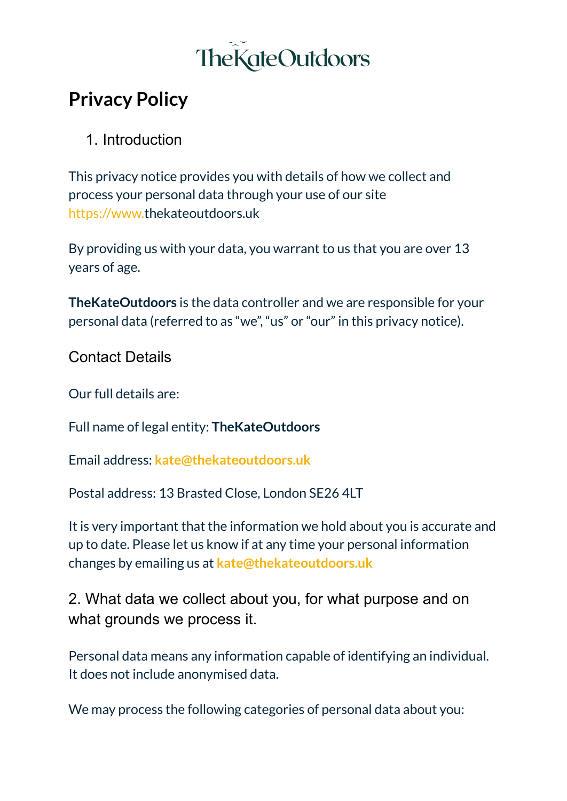

### **Privacy Policy**

### 1. Introduction

This privacy notice provides you with details of how we collect and process your personal data through your use of our sit[e](https://www.forthcoaching.com/) [https://www.t](https://www.forthcoaching.com/)hekateoutdoors.uk

By providing us with your data, you warrant to us that you are over 13 years of age.

**TheKateOutdoors** is the data controller and we are responsible for your personal data (referred to as "we", "us" or "our" in this privacy notice).

Contact Details

Our full details are:

Full name of legal entity: **TheKateOutdoors**

Email address: **kate@thekateoutdoors.uk**

Postal address: 13 Brasted Close, London SE26 4LT

It is very important that the information we hold about you is accurate and up to date. Please let us know if at any time your personal information changes by emailing us at **kate@thekateoutdoors.uk**

2. What data we collect about you, for what purpose and on what grounds we process it.

Personal data means any information capable of identifying an individual. It does not include anonymised data.

We may process the following categories of personal data about you: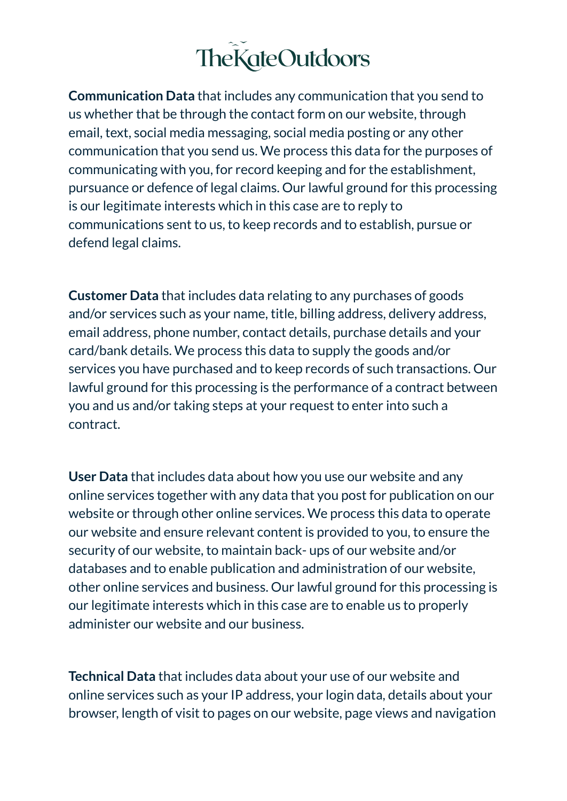**Communication Data** that includes any communication that you send to us whether that be through the contact form on our website, through email, text, social media messaging, social media posting or any other communication that you send us. We process this data for the purposes of communicating with you, for record keeping and for the establishment, pursuance or defence of legal claims. Our lawful ground for this processing is our legitimate interests which in this case are to reply to communications sent to us, to keep records and to establish, pursue or defend legal claims.

**Customer Data** that includes data relating to any purchases of goods and/or services such as your name, title, billing address, delivery address, email address, phone number, contact details, purchase details and your card/bank details. We process this data to supply the goods and/or services you have purchased and to keep records of such transactions. Our lawful ground for this processing is the performance of a contract between you and us and/or taking steps at your request to enter into such a contract.

**User Data** that includes data about how you use our website and any online services together with any data that you post for publication on our website or through other online services. We process this data to operate our website and ensure relevant content is provided to you, to ensure the security of our website, to maintain back- ups of our website and/or databases and to enable publication and administration of our website, other online services and business. Our lawful ground for this processing is our legitimate interests which in this case are to enable us to properly administer our website and our business.

**Technical Data** that includes data about your use of our website and online services such as your IP address, your login data, details about your browser, length of visit to pages on our website, page views and navigation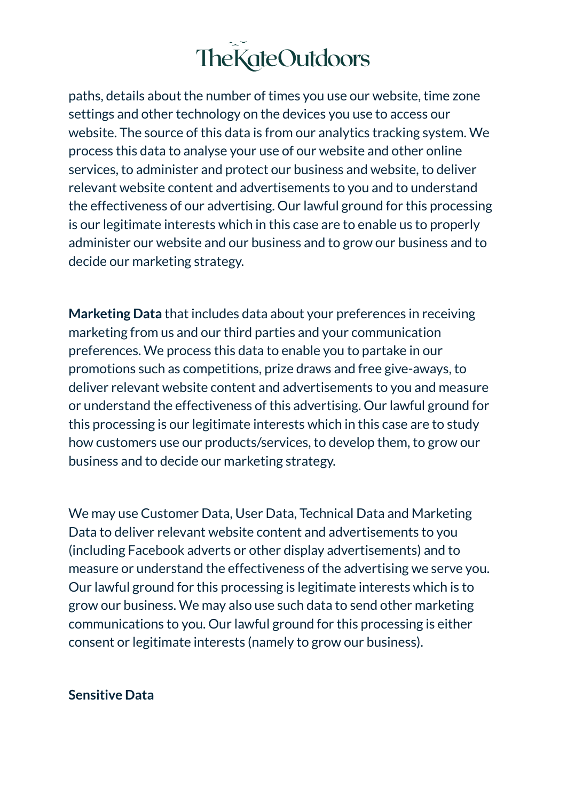paths, details about the number of times you use our website, time zone settings and other technology on the devices you use to access our website. The source of this data is from our analytics tracking system. We process this data to analyse your use of our website and other online services, to administer and protect our business and website, to deliver relevant website content and advertisements to you and to understand the effectiveness of our advertising. Our lawful ground for this processing is our legitimate interests which in this case are to enable us to properly administer our website and our business and to grow our business and to decide our marketing strategy.

**Marketing Data** that includes data about your preferences in receiving marketing from us and our third parties and your communication preferences. We process this data to enable you to partake in our promotions such as competitions, prize draws and free give-aways, to deliver relevant website content and advertisements to you and measure or understand the effectiveness of this advertising. Our lawful ground for this processing is our legitimate interests which in this case are to study how customers use our products/services, to develop them, to grow our business and to decide our marketing strategy.

We may use Customer Data, User Data, Technical Data and Marketing Data to deliver relevant website content and advertisements to you (including Facebook adverts or other display advertisements) and to measure or understand the effectiveness of the advertising we serve you. Our lawful ground for this processing is legitimate interests which is to grow our business. We may also use such data to send other marketing communications to you. Our lawful ground for this processing is either consent or legitimate interests (namely to grow our business).

#### **Sensitive Data**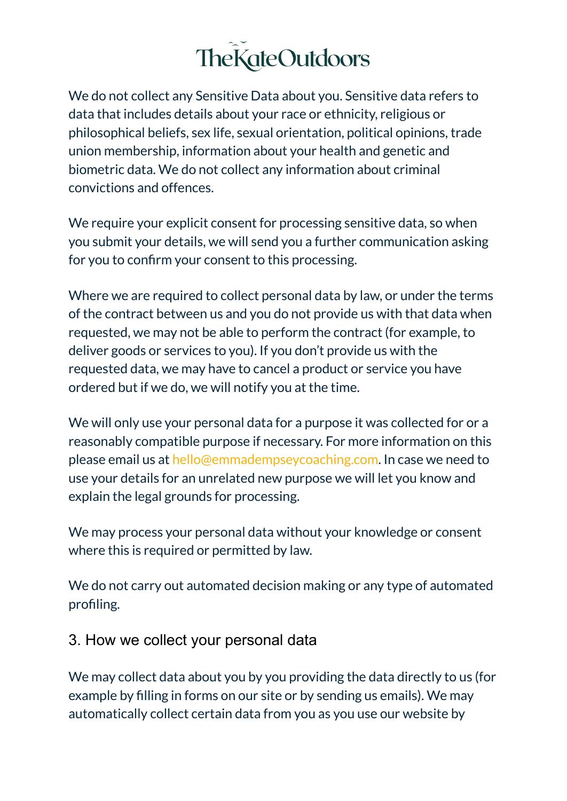We do not collect any Sensitive Data about you. Sensitive data refers to data that includes details about your race or ethnicity, religious or philosophical beliefs, sex life, sexual orientation, political opinions, trade union membership, information about your health and genetic and biometric data. We do not collect any information about criminal convictions and offences.

We require your explicit consent for processing sensitive data, so when you submit your details, we will send you a further communication asking for you to confirm your consent to this processing.

Where we are required to collect personal data by law, or under the terms of the contract between us and you do not provide us with that data when requested, we may not be able to perform the contract (for example, to deliver goods or services to you). If you don't provide us with the requested data, we may have to cancel a product or service you have ordered but if we do, we will notify you at the time.

We will only use your personal data for a purpose it was collected for or a reasonably compatible purpose if necessary. For more information on this please email us at hello@emmadempseycoaching.com. In case we need to use your details for an unrelated new purpose we will let you know and explain the legal grounds for processing.

We may process your personal data without your knowledge or consent where this is required or permitted by law.

We do not carry out automated decision making or any type of automated profiling.

#### 3. How we collect your personal data

We may collect data about you by you providing the data directly to us (for example by filling in forms on our site or by sending us emails). We may automatically collect certain data from you as you use our website by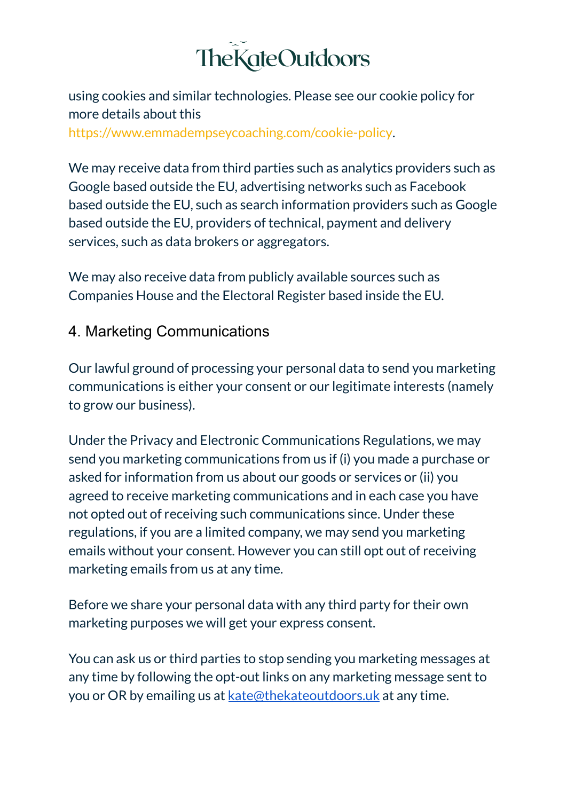using cookies and similar technologies. Please see our cookie policy for more details about thi[s](https://www.forthcoaching.com/privacy-policy)

[https://www.emmadempseycoaching.com/cookie-policy.](https://www.forthcoaching.com/privacy-policy)

We may receive data from third parties such as analytics providers such as Google based outside the EU, advertising networks such as Facebook based outside the EU, such as search information providers such as Google based outside the EU, providers of technical, payment and delivery services, such as data brokers or aggregators.

We may also receive data from publicly available sources such as Companies House and the Electoral Register based inside the EU.

#### 4. Marketing Communications

Our lawful ground of processing your personal data to send you marketing communications is either your consent or our legitimate interests (namely to grow our business).

Under the Privacy and Electronic Communications Regulations, we may send you marketing communications from us if (i) you made a purchase or asked for information from us about our goods or services or (ii) you agreed to receive marketing communications and in each case you have not opted out of receiving such communications since. Under these regulations, if you are a limited company, we may send you marketing emails without your consent. However you can still opt out of receiving marketing emails from us at any time.

Before we share your personal data with any third party for their own marketing purposes we will get your express consent.

You can ask us or third parties to stop sending you marketing messages at any time by following the opt-out links on any marketing message sent to you or OR by emailing us at [kate@thekateoutdoors.uk](mailto:kate@thekateoutdoors.uk) at any time.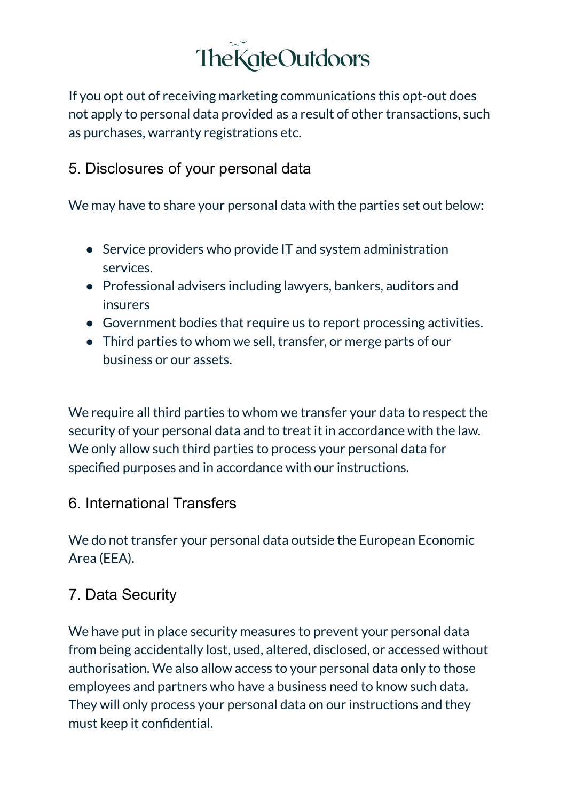If you opt out of receiving marketing communications this opt-out does not apply to personal data provided as a result of other transactions, such as purchases, warranty registrations etc.

#### 5. Disclosures of your personal data

We may have to share your personal data with the parties set out below:

- Service providers who provide IT and system administration services.
- Professional advisers including lawyers, bankers, auditors and insurers
- Government bodies that require us to report processing activities.
- Third parties to whom we sell, transfer, or merge parts of our business or our assets.

We require all third parties to whom we transfer your data to respect the security of your personal data and to treat it in accordance with the law. We only allow such third parties to process your personal data for specified purposes and in accordance with our instructions.

#### 6. International Transfers

We do not transfer your personal data outside the European Economic Area (EEA).

#### 7. Data Security

We have put in place security measures to prevent your personal data from being accidentally lost, used, altered, disclosed, or accessed without authorisation. We also allow access to your personal data only to those employees and partners who have a business need to know such data. They will only process your personal data on our instructions and they must keep it confidential.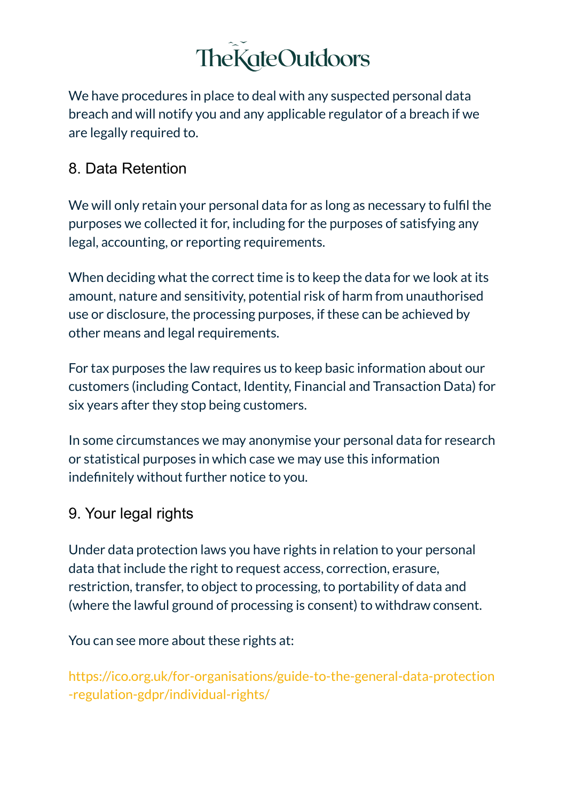We have procedures in place to deal with any suspected personal data breach and will notify you and any applicable regulator of a breach if we are legally required to.

### 8. Data Retention

We will only retain your personal data for as long as necessary to fulfil the purposes we collected it for, including for the purposes of satisfying any legal, accounting, or reporting requirements.

When deciding what the correct time is to keep the data for we look at its amount, nature and sensitivity, potential risk of harm from unauthorised use or disclosure, the processing purposes, if these can be achieved by other means and legal requirements.

For tax purposes the law requires us to keep basic information about our customers (including Contact, Identity, Financial and Transaction Data) for six years after they stop being customers.

In some circumstances we may anonymise your personal data for research or statistical purposes in which case we may use this information indefinitely without further notice to you.

#### 9. Your legal rights

Under data protection laws you have rights in relation to your personal data that include the right to request access, correction, erasure, restriction, transfer, to object to processing, to portability of data and (where the lawful ground of processing is consent) to withdraw consent.

You can see more about these rights at:

[https://ico.org.uk/for-organisations/guide-to-the-general-data-protection](https://ico.org.uk/for-organisations/guide-to-the-general-data-protection-regulation-gdpr/individual-rights/) [-regulation-gdpr/individual-rights/](https://ico.org.uk/for-organisations/guide-to-the-general-data-protection-regulation-gdpr/individual-rights/)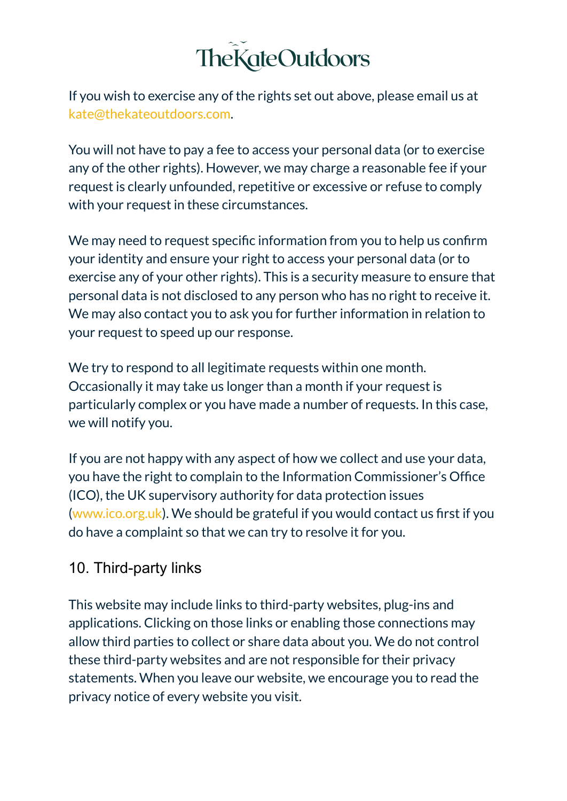If you wish to exercise any of the rights set out above, please email us at kate@thekateoutdoors.com.

You will not have to pay a fee to access your personal data (or to exercise any of the other rights). However, we may charge a reasonable fee if your request is clearly unfounded, repetitive or excessive or refuse to comply with your request in these circumstances.

We may need to request specific information from you to help us confirm your identity and ensure your right to access your personal data (or to exercise any of your other rights). This is a security measure to ensure that personal data is not disclosed to any person who has no right to receive it. We may also contact you to ask you for further information in relation to your request to speed up our response.

We try to respond to all legitimate requests within one month. Occasionally it may take us longer than a month if your request is particularly complex or you have made a number of requests. In this case, we will notify you.

If you are not happy with any aspect of how we collect and use your data, you have the right to complain to the Information Commissioner's Office (ICO), the UK supervisory authority for data protection issues [\(www.ico.org.uk](https://www.ico.org.uk/)). We should be grateful if you would contact us first if you do have a complaint so that we can try to resolve it for you.

#### 10. Third-party links

This website may include links to third-party websites, plug-ins and applications. Clicking on those links or enabling those connections may allow third parties to collect or share data about you. We do not control these third-party websites and are not responsible for their privacy statements. When you leave our website, we encourage you to read the privacy notice of every website you visit.